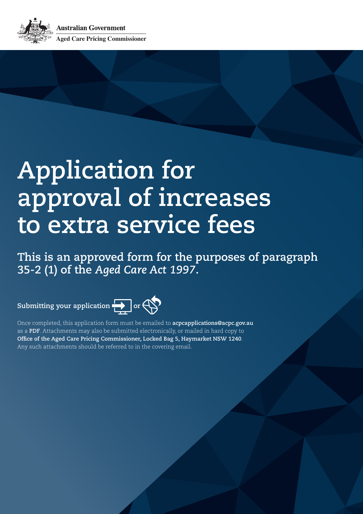

**Australian Government Aged Care Pricing Commissioner**

# **Application for approval of increases to extra service fees**

**This is an approved form for the purposes of paragraph 35-2 (1) of the** *Aged Care Act 1997***.**

## **Submitting your application or**  $\bigoplus$  or  $\bigoplus$

Once completed, this application form must be emailed to **acpcapplications@acpc.gov.au** as a **PDF**. Attachments may also be submitted electronically, or mailed in hard copy to **Office of the Aged Care Pricing Commissioner, Locked Bag 5, Haymarket NSW 1240**. Any such attachments should be referred to in the covering email.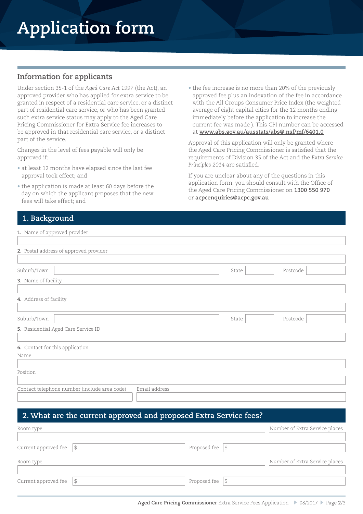## **Application form**

#### **Information for applicants**

Under section 35-1 of the *Aged Care Act 1997* (the Act), an approved provider who has applied for extra service to be granted in respect of a residential care service, or a distinct part of residential care service, or who has been granted such extra service status may apply to the Aged Care Pricing Commissioner for Extra Service fee increases to be approved in that residential care service, or a distinct part of the service.

Changes in the level of fees payable will only be approved if:

- at least 12 months have elapsed since the last fee approval took effect; and
- the application is made at least 60 days before the day on which the applicant proposes that the new fees will take effect; and

• the fee increase is no more than 20% of the previously approved fee plus an indexation of the fee in accordance with the All Groups Consumer Price Index (the weighted average of eight capital cities for the 12 months ending immediately before the application to increase the current fee was made ). This CPI number can be accessed at **www.abs.gov.au/ausstats/abs@.nsf/mf/6401.0**

Approval of this application will only be granted where the Aged Care Pricing Commissioner is satisfied that the requirements of Division 35 of the Act and the *Extra Service Principles 2014* are satisfied.

If you are unclear about any of the questions in this application form, you should consult with the Office of the Aged Care Pricing Commissioner on **1300 550 970** or **acpcenquiries@acpc.gov.au** 

### **1. Background**

| 1. Name of approved provider                                  |                   |  |  |  |  |
|---------------------------------------------------------------|-------------------|--|--|--|--|
| 2. Postal address of approved provider                        |                   |  |  |  |  |
| Suburb/Town                                                   | Postcode<br>State |  |  |  |  |
| 3. Name of facility                                           |                   |  |  |  |  |
| 4. Address of facility                                        |                   |  |  |  |  |
| Suburb/Town                                                   | Postcode<br>State |  |  |  |  |
| 5. Residential Aged Care Service ID                           |                   |  |  |  |  |
| 6. Contact for this application                               |                   |  |  |  |  |
| Name                                                          |                   |  |  |  |  |
| Position                                                      |                   |  |  |  |  |
| Contact telephone number (include area code)<br>Email address |                   |  |  |  |  |

#### **2. What are the current approved and proposed Extra Service fees?**

| Room type            |                          | Number of Extra Service places |
|----------------------|--------------------------|--------------------------------|
| Current approved fee | \$<br>Proposed fee $ \$$ |                                |
| Room type            |                          | Number of Extra Service places |
| Current approved fee | Proposed fee             | \$                             |